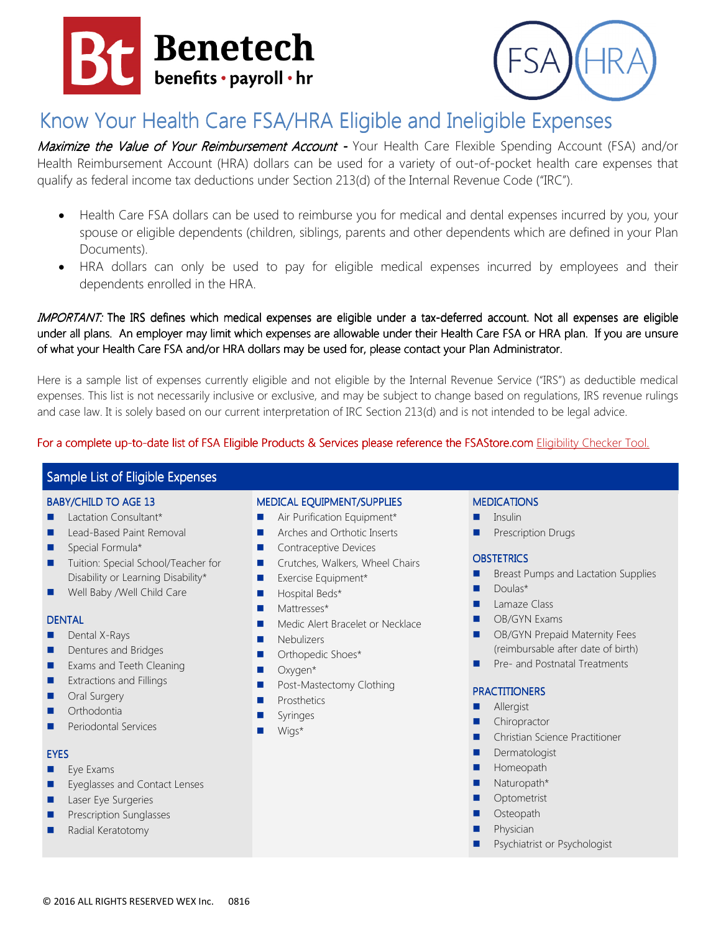



# Know Your Health Care FSA/HRA Eligible and Ineligible Expenses

Maximize the Value of Your Reimbursement Account - Your Health Care Flexible Spending Account (FSA) and/or Health Reimbursement Account (HRA) dollars can be used for a variety of out-of-pocket health care expenses that qualify as federal income tax deductions under Section 213(d) of the Internal Revenue Code ("IRC").

- Health Care FSA dollars can be used to reimburse you for medical and dental expenses incurred by you, your spouse or eligible dependents (children, siblings, parents and other dependents which are defined in your Plan Documents).
- HRA dollars can only be used to pay for eligible medical expenses incurred by employees and their dependents enrolled in the HRA.

IMPORTANT: The IRS defines which medical expenses are eligible under a tax-deferred account. Not all expenses are eligible under all plans. An employer may limit which expenses are allowable under their Health Care FSA or HRA plan. If you are unsure of what your Health Care FSA and/or HRA dollars may be used for, please contact your Plan Administrator.

Here is a sample list of expenses currently eligible and not eligible by the Internal Revenue Service ("IRS") as deductible medical expenses. This list is not necessarily inclusive or exclusive, and may be subject to change based on regulations, IRS revenue rulings and case law. It is solely based on our current interpretation of IRC Section 213(d) and is not intended to be legal advice.

# For a complete up-to-date list of FSA Eligible Products & Services please reference the FSAStore.com Eligibility Checker Tool.

# Sample List of Eligible Expenses

#### BABY/CHILD TO AGE 13

- **Lactation Consultant\***
- **Lead-Based Paint Removal**
- **Special Formula\***
- Tuition: Special School/Teacher for Disability or Learning Disability\*
- Well Baby /Well Child Care

#### **DENTAL**

- **Dental X-Rays**
- Dentures and Bridges
- **Exams and Teeth Cleaning**
- **EXtractions and Fillings**
- **Delay** Oral Surgery
- **Orthodontia**
- **Periodontal Services**

#### EYES

- $Eye$  Exams
- **Executes** Eyeglasses and Contact Lenses
- **Laser Eye Surgeries**
- **Prescription Sunglasses**
- Radial Keratotomy

# MEDICAL EQUIPMENT/SUPPLIES

- Air Purification Equipment\*
- Arches and Orthotic Inserts
- Contraceptive Devices
- **Crutches, Walkers, Wheel Chairs**
- **EXEL** Exercise Equipment\*
- **Hospital Beds\***
- **Mattresses\***
- **Medic Alert Bracelet or Necklace**
- **Nebulizers**
- **D** Orthopedic Shoes\*
- Oxygen\*
- **Post-Mastectomy Clothing**
- **Prosthetics**
- **Syringes**
- Wigs\*

# **MEDICATIONS**

- Insulin
- **Prescription Drugs**

#### **OBSTETRICS**

- **Breast Pumps and Lactation Supplies**
- **Doulas\***
- **Lamaze Class**
- **OB/GYN Exams**
- OB/GYN Prepaid Maternity Fees (reimbursable after date of birth)
- **Pre- and Postnatal Treatments**

#### PRACTITIONERS

- **Allergist**
- **Chiropractor**
- **E** Christian Science Practitioner
- **Dermatologist**
- **Homeopath**
- **Naturopath\***
- Optometrist
- **D** Osteopath
- **Physician**
- Psychiatrist or Psychologist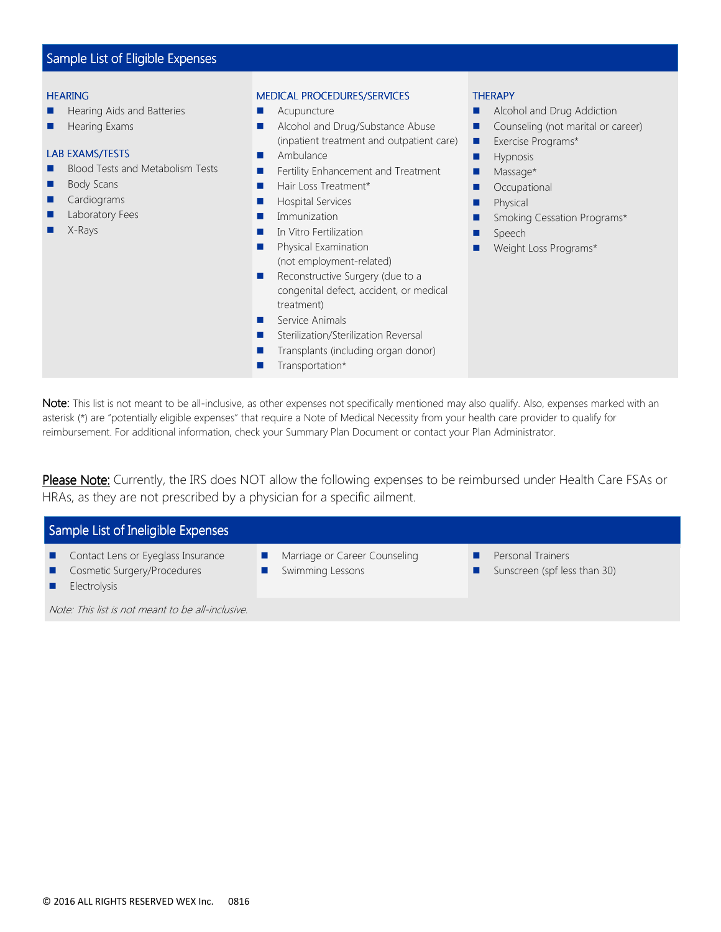# Sample List of Eligible Expenses

#### **HEARING**

- **Hearing Aids and Batteries**
- $H$  Hearing Exams

# LAB EXAMS/TESTS

- **Blood Tests and Metabolism Tests**
- **Body Scans**
- **Cardiograms**
- Laboratory Fees
- X-Rays

#### MEDICAL PROCEDURES/SERVICES

- **Acupuncture**
- **Alcohol and Drug/Substance Abuse** (inpatient treatment and outpatient care)
- **Ambulance**
- **Fertility Enhancement and Treatment**
- Hair Loss Treatment\*
- **Hospital Services**
- **Immunization**
- **In Vitro Fertilization**
- **Physical Examination** (not employment-related)
- Reconstructive Surgery (due to a congenital defect, accident, or medical treatment)
- Service Animals
- Sterilization/Sterilization Reversal
- Transplants (including organ donor)
- **T** Transportation\*

#### **THERAPY**

- **Alcohol and Drug Addiction**
- Counseling (not marital or career)
- **Exercise Programs\***
- **Hypnosis**
- **Massage\***
- **Occupational**
- **Physical**
- **Smoking Cessation Programs\***
- **Speech**
- **Neight Loss Programs\***

Note: This list is not meant to be all-inclusive, as other expenses not specifically mentioned may also qualify. Also, expenses marked with an asterisk (\*) are "potentially eligible expenses" that require a Note of Medical Necessity from your health care provider to qualify for reimbursement. For additional information, check your Summary Plan Document or contact your Plan Administrator.

Please Note: Currently, the IRS does NOT allow the following expenses to be reimbursed under Health Care FSAs or HRAs, as they are not prescribed by a physician for a specific ailment.

| Sample List of Ineligible Expenses |                                                                   |  |                                                   |  |                                                   |  |  |
|------------------------------------|-------------------------------------------------------------------|--|---------------------------------------------------|--|---------------------------------------------------|--|--|
|                                    | Contact Lens or Eyeglass Insurance<br>Cosmetic Surgery/Procedures |  | Marriage or Career Counseling<br>Swimming Lessons |  | Personal Trainers<br>Sunscreen (spf less than 30) |  |  |
|                                    | Electrolysis                                                      |  |                                                   |  |                                                   |  |  |

Note: This list is not meant to be all-inclusive.